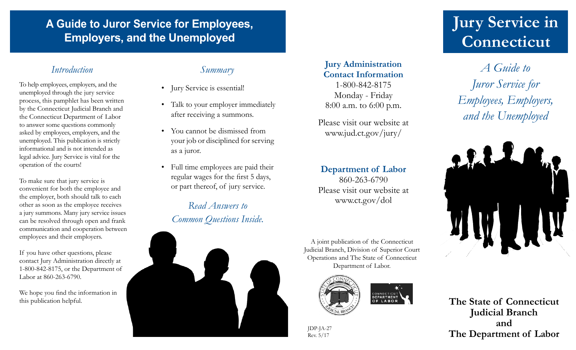# **A Guide to Juror Service for Employees, Employers, and the Unemployed**

## *Introduction Summary*

To help employees, employers, and the unemployed through the jury service process, this pamphlet has been written by the Connecticut Judicial Branch and the Connecticut Department of Labor to answer some questions commonly asked by employees, employers, and the unemployed. This publication is strictly informational and is not intended as legal advice. Jury Service is vital for the operation of the courts!

To make sure that jury service is convenient for both the employee and the employer, both should talk to each other as soon as the employee receives a jury summons. Many jury service issues can be resolved through open and frank communication and cooperation between employees and their employers.

If you have other questions, please contact Jury Administration directly at 1-800-842-8175, or the Department of Labor at 860-263-6790.

We hope you find the information in this publication helpful.

- Jury Service is essential!
- Talk to your employer immediately after receiving a summons.
- You cannot be dismissed from your job or disciplined for serving as a juror.
- Full time employees are paid their regular wages for the first 5 days, or part thereof, of jury service.

*Read Answers to Common Questions Inside.*



**Jury Administration Contact Information** 1-800-842-8175 Monday - Friday

8:00 a.m. to 6:00 p.m. Please visit our website at

www.jud.ct.gov/jury/

# **Department of Labor**

860-263-6790 Please visit our website at www.ct.gov/dol

A joint publication of the Connecticut Judicial Branch, Division of Superior Court Operations and The State of Connecticut Department of Labor.



JDP-JA-27 Rev. 5/17

# **Jury Service in Connecticut**

*A Guide to Juror Service for Employees, Employers, and the Unemployed*



**The State of Connecticut Judicial Branch and The Department of Labor**